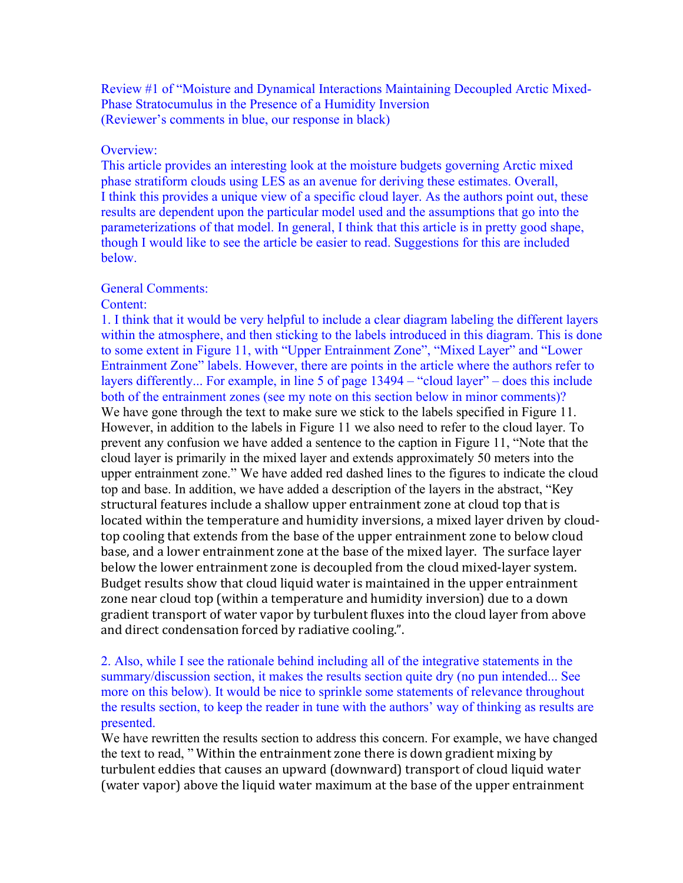Review #1 of "Moisture and Dynamical Interactions Maintaining Decoupled Arctic Mixed-Phase Stratocumulus in the Presence of a Humidity Inversion (Reviewer's comments in blue, our response in black)

#### Overview<sup>.</sup>

This article provides an interesting look at the moisture budgets governing Arctic mixed phase stratiform clouds using LES as an avenue for deriving these estimates. Overall, I think this provides a unique view of a specific cloud layer. As the authors point out, these results are dependent upon the particular model used and the assumptions that go into the parameterizations of that model. In general, I think that this article is in pretty good shape, though I would like to see the article be easier to read. Suggestions for this are included below.

### General Comments:

#### Content:

1. I think that it would be very helpful to include a clear diagram labeling the different layers within the atmosphere, and then sticking to the labels introduced in this diagram. This is done to some extent in Figure 11, with "Upper Entrainment Zone", "Mixed Layer" and "Lower Entrainment Zone" labels. However, there are points in the article where the authors refer to layers differently... For example, in line 5 of page 13494 – "cloud layer" – does this include both of the entrainment zones (see my note on this section below in minor comments)? We have gone through the text to make sure we stick to the labels specified in Figure 11. However, in addition to the labels in Figure 11 we also need to refer to the cloud layer. To prevent any confusion we have added a sentence to the caption in Figure 11, "Note that the cloud layer is primarily in the mixed layer and extends approximately 50 meters into the upper entrainment zone." We have added red dashed lines to the figures to indicate the cloud top and base. In addition, we have added a description of the layers in the abstract, "Key structural features include a shallow upper entrainment zone at cloud top that is located within the temperature and humidity inversions, a mixed layer driven by cloudtop cooling that extends from the base of the upper entrainment zone to below cloud base, and a lower entrainment zone at the base of the mixed layer. The surface layer below the lower entrainment zone is decoupled from the cloud mixed-layer system. Budget results show that cloud liquid water is maintained in the upper entrainment zone near cloud top (within a temperature and humidity inversion) due to a down gradient transport of water vapor by turbulent fluxes into the cloud layer from above and direct condensation forced by radiative cooling.".

2. Also, while I see the rationale behind including all of the integrative statements in the summary/discussion section, it makes the results section quite dry (no pun intended... See more on this below). It would be nice to sprinkle some statements of relevance throughout the results section, to keep the reader in tune with the authors' way of thinking as results are presented.

We have rewritten the results section to address this concern. For example, we have changed the text to read, " Within the entrainment zone there is down gradient mixing by turbulent eddies that causes an upward (downward) transport of cloud liquid water (water vapor) above the liquid water maximum at the base of the upper entrainment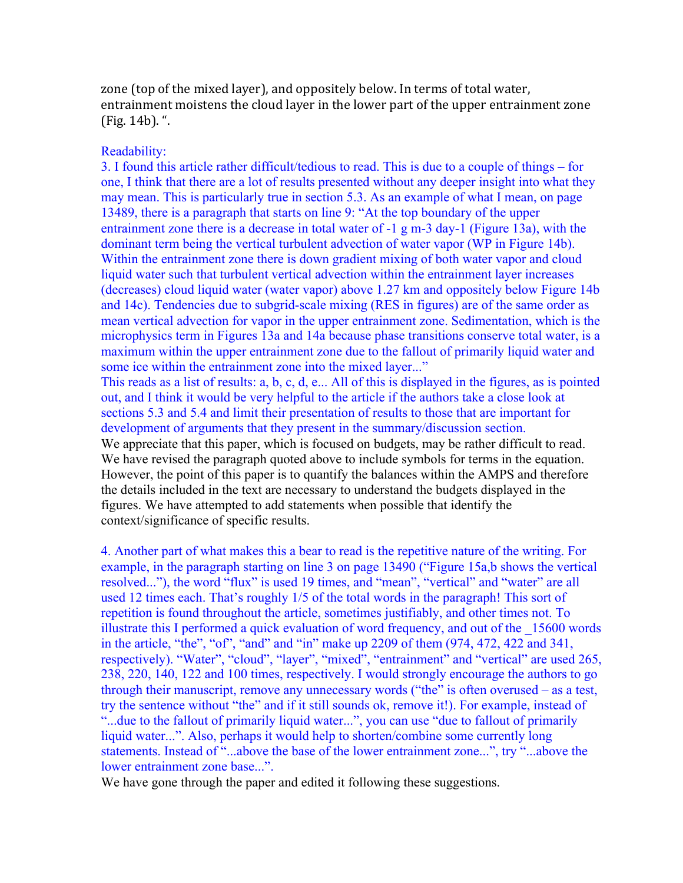zone (top of the mixed layer), and oppositely below. In terms of total water, entrainment moistens the cloud layer in the lower part of the upper entrainment zone  $(Fig. 14b)$ . ".

# Readability:

3. I found this article rather difficult/tedious to read. This is due to a couple of things – for one, I think that there are a lot of results presented without any deeper insight into what they may mean. This is particularly true in section 5.3. As an example of what I mean, on page 13489, there is a paragraph that starts on line 9: "At the top boundary of the upper entrainment zone there is a decrease in total water of -1 g m-3 day-1 (Figure 13a), with the dominant term being the vertical turbulent advection of water vapor (WP in Figure 14b). Within the entrainment zone there is down gradient mixing of both water vapor and cloud liquid water such that turbulent vertical advection within the entrainment layer increases (decreases) cloud liquid water (water vapor) above 1.27 km and oppositely below Figure 14b and 14c). Tendencies due to subgrid-scale mixing (RES in figures) are of the same order as mean vertical advection for vapor in the upper entrainment zone. Sedimentation, which is the microphysics term in Figures 13a and 14a because phase transitions conserve total water, is a maximum within the upper entrainment zone due to the fallout of primarily liquid water and some ice within the entrainment zone into the mixed layer..."

This reads as a list of results: a, b, c, d, e... All of this is displayed in the figures, as is pointed out, and I think it would be very helpful to the article if the authors take a close look at sections 5.3 and 5.4 and limit their presentation of results to those that are important for development of arguments that they present in the summary/discussion section.

We appreciate that this paper, which is focused on budgets, may be rather difficult to read. We have revised the paragraph quoted above to include symbols for terms in the equation. However, the point of this paper is to quantify the balances within the AMPS and therefore the details included in the text are necessary to understand the budgets displayed in the figures. We have attempted to add statements when possible that identify the context/significance of specific results.

4. Another part of what makes this a bear to read is the repetitive nature of the writing. For example, in the paragraph starting on line 3 on page 13490 ("Figure 15a,b shows the vertical resolved..."), the word "flux" is used 19 times, and "mean", "vertical" and "water" are all used 12 times each. That's roughly 1/5 of the total words in the paragraph! This sort of repetition is found throughout the article, sometimes justifiably, and other times not. To illustrate this I performed a quick evaluation of word frequency, and out of the 15600 words in the article, "the", "of", "and" and "in" make up 2209 of them (974, 472, 422 and 341, respectively). "Water", "cloud", "layer", "mixed", "entrainment" and "vertical" are used 265, 238, 220, 140, 122 and 100 times, respectively. I would strongly encourage the authors to go through their manuscript, remove any unnecessary words ("the" is often overused – as a test, try the sentence without "the" and if it still sounds ok, remove it!). For example, instead of "...due to the fallout of primarily liquid water...", you can use "due to fallout of primarily liquid water...". Also, perhaps it would help to shorten/combine some currently long statements. Instead of "...above the base of the lower entrainment zone...", try "...above the lower entrainment zone base...".

We have gone through the paper and edited it following these suggestions.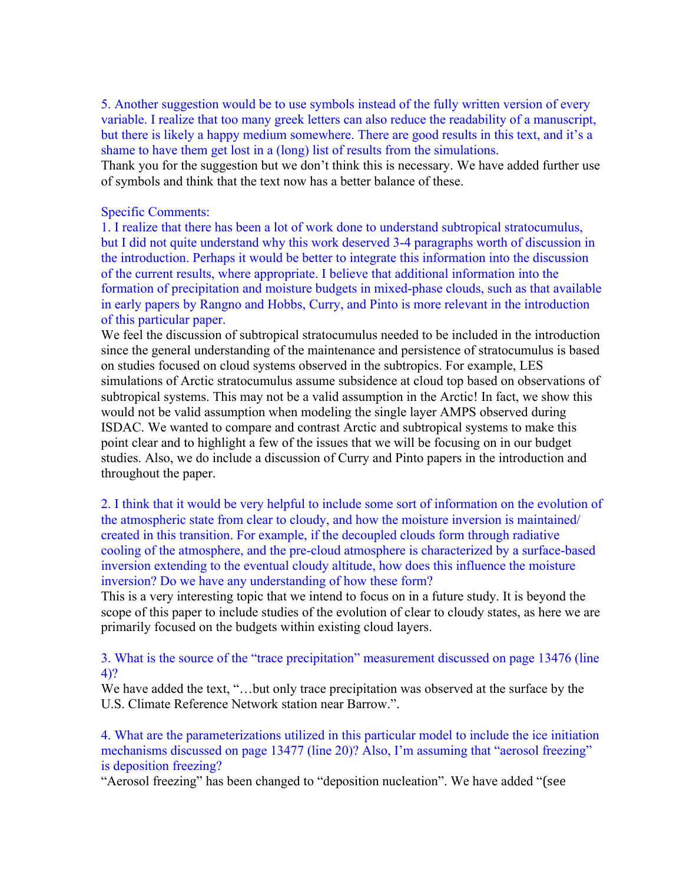5. Another suggestion would be to use symbols instead of the fully written version of every variable. I realize that too many greek letters can also reduce the readability of a manuscript, but there is likely a happy medium somewhere. There are good results in this text, and it's a shame to have them get lost in a (long) list of results from the simulations.

Thank you for the suggestion but we don't think this is necessary. We have added further use of symbols and think that the text now has a better balance of these.

## Specific Comments:

1. I realize that there has been a lot of work done to understand subtropical stratocumulus, but I did not quite understand why this work deserved 3-4 paragraphs worth of discussion in the introduction. Perhaps it would be better to integrate this information into the discussion of the current results, where appropriate. I believe that additional information into the formation of precipitation and moisture budgets in mixed-phase clouds, such as that available in early papers by Rangno and Hobbs, Curry, and Pinto is more relevant in the introduction of this particular paper.

We feel the discussion of subtropical stratocumulus needed to be included in the introduction since the general understanding of the maintenance and persistence of stratocumulus is based on studies focused on cloud systems observed in the subtropics. For example, LES simulations of Arctic stratocumulus assume subsidence at cloud top based on observations of subtropical systems. This may not be a valid assumption in the Arctic! In fact, we show this would not be valid assumption when modeling the single layer AMPS observed during ISDAC. We wanted to compare and contrast Arctic and subtropical systems to make this point clear and to highlight a few of the issues that we will be focusing on in our budget studies. Also, we do include a discussion of Curry and Pinto papers in the introduction and throughout the paper.

2. I think that it would be very helpful to include some sort of information on the evolution of the atmospheric state from clear to cloudy, and how the moisture inversion is maintained/ created in this transition. For example, if the decoupled clouds form through radiative cooling of the atmosphere, and the pre-cloud atmosphere is characterized by a surface-based inversion extending to the eventual cloudy altitude, how does this influence the moisture inversion? Do we have any understanding of how these form?

This is a very interesting topic that we intend to focus on in a future study. It is beyond the scope of this paper to include studies of the evolution of clear to cloudy states, as here we are primarily focused on the budgets within existing cloud layers.

3. What is the source of the "trace precipitation" measurement discussed on page 13476 (line 4)?

We have added the text, "…but only trace precipitation was observed at the surface by the U.S. Climate Reference Network station near Barrow.".

4. What are the parameterizations utilized in this particular model to include the ice initiation mechanisms discussed on page 13477 (line 20)? Also, I'm assuming that "aerosol freezing" is deposition freezing?

"Aerosol freezing" has been changed to "deposition nucleation". We have added "(see\$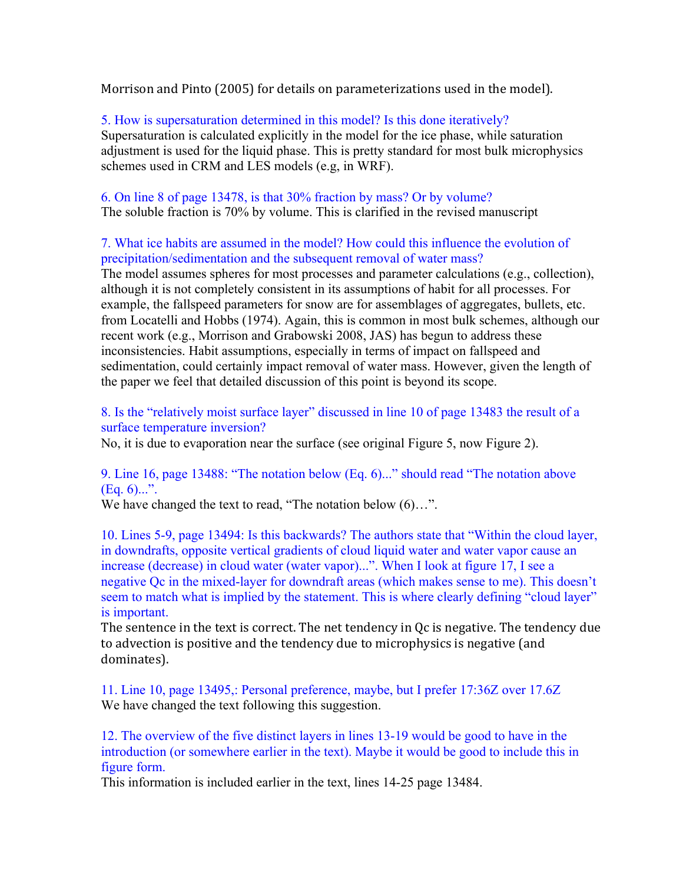Morrison and Pinto (2005) for details on parameterizations used in the model).

5. How is supersaturation determined in this model? Is this done iteratively? Supersaturation is calculated explicitly in the model for the ice phase, while saturation adjustment is used for the liquid phase. This is pretty standard for most bulk microphysics schemes used in CRM and LES models (e.g, in WRF).

6. On line 8 of page 13478, is that 30% fraction by mass? Or by volume? The soluble fraction is 70% by volume. This is clarified in the revised manuscript

7. What ice habits are assumed in the model? How could this influence the evolution of precipitation/sedimentation and the subsequent removal of water mass?

The model assumes spheres for most processes and parameter calculations (e.g., collection), although it is not completely consistent in its assumptions of habit for all processes. For example, the fallspeed parameters for snow are for assemblages of aggregates, bullets, etc. from Locatelli and Hobbs (1974). Again, this is common in most bulk schemes, although our recent work (e.g., Morrison and Grabowski 2008, JAS) has begun to address these inconsistencies. Habit assumptions, especially in terms of impact on fallspeed and sedimentation, could certainly impact removal of water mass. However, given the length of the paper we feel that detailed discussion of this point is beyond its scope.

8. Is the "relatively moist surface layer" discussed in line 10 of page 13483 the result of a surface temperature inversion?

No, it is due to evaporation near the surface (see original Figure 5, now Figure 2).

9. Line 16, page 13488: "The notation below (Eq. 6)..." should read "The notation above  $(Eq. 6)...".$ 

We have changed the text to read, "The notation below  $(6)$ ...".

10. Lines 5-9, page 13494: Is this backwards? The authors state that "Within the cloud layer, in downdrafts, opposite vertical gradients of cloud liquid water and water vapor cause an increase (decrease) in cloud water (water vapor)...". When I look at figure 17, I see a negative Qc in the mixed-layer for downdraft areas (which makes sense to me). This doesn't seem to match what is implied by the statement. This is where clearly defining "cloud layer" is important.

The sentence in the text is correct. The net tendency in Qc is negative. The tendency due to advection is positive and the tendency due to microphysics is negative (and dominates).

11. Line 10, page 13495,: Personal preference, maybe, but I prefer 17:36Z over 17.6Z We have changed the text following this suggestion.

12. The overview of the five distinct layers in lines 13-19 would be good to have in the introduction (or somewhere earlier in the text). Maybe it would be good to include this in figure form.

This information is included earlier in the text, lines 14-25 page 13484.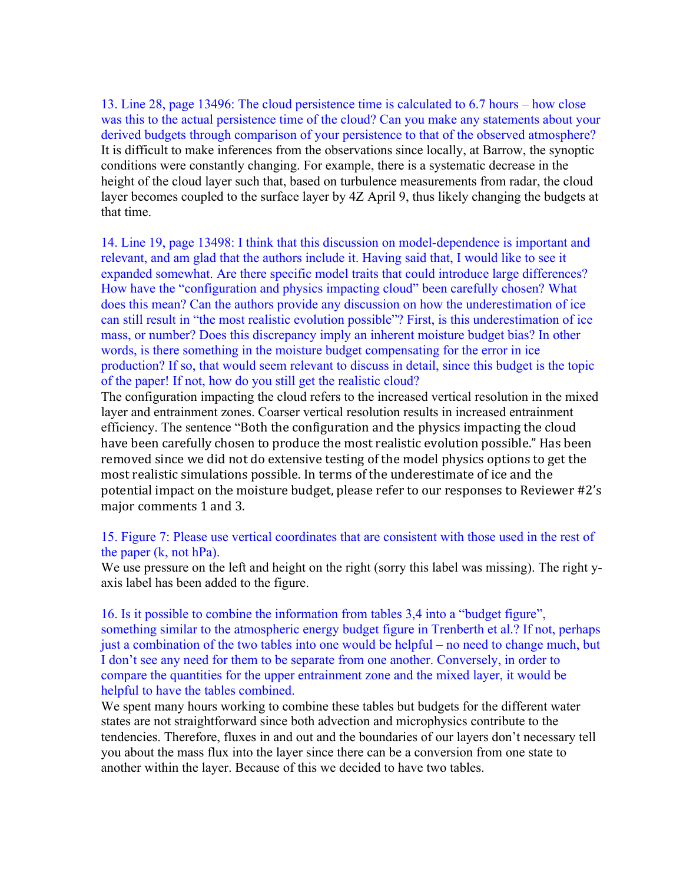13. Line 28, page 13496: The cloud persistence time is calculated to 6.7 hours – how close was this to the actual persistence time of the cloud? Can you make any statements about your derived budgets through comparison of your persistence to that of the observed atmosphere? It is difficult to make inferences from the observations since locally, at Barrow, the synoptic conditions were constantly changing. For example, there is a systematic decrease in the height of the cloud layer such that, based on turbulence measurements from radar, the cloud layer becomes coupled to the surface layer by 4Z April 9, thus likely changing the budgets at that time.

14. Line 19, page 13498: I think that this discussion on model-dependence is important and relevant, and am glad that the authors include it. Having said that, I would like to see it expanded somewhat. Are there specific model traits that could introduce large differences? How have the "configuration and physics impacting cloud" been carefully chosen? What does this mean? Can the authors provide any discussion on how the underestimation of ice can still result in "the most realistic evolution possible"? First, is this underestimation of ice mass, or number? Does this discrepancy imply an inherent moisture budget bias? In other words, is there something in the moisture budget compensating for the error in ice production? If so, that would seem relevant to discuss in detail, since this budget is the topic of the paper! If not, how do you still get the realistic cloud?

The configuration impacting the cloud refers to the increased vertical resolution in the mixed layer and entrainment zones. Coarser vertical resolution results in increased entrainment efficiency. The sentence "Both the configuration and the physics impacting the cloud have been carefully chosen to produce the most realistic evolution possible." Has been removed since we did not do extensive testing of the model physics options to get the most realistic simulations possible. In terms of the underestimate of ice and the potential impact on the moisture budget, please refer to our responses to Reviewer #2's major comments 1 and 3.

# 15. Figure 7: Please use vertical coordinates that are consistent with those used in the rest of the paper (k, not hPa).

We use pressure on the left and height on the right (sorry this label was missing). The right yaxis label has been added to the figure.

16. Is it possible to combine the information from tables 3,4 into a "budget figure", something similar to the atmospheric energy budget figure in Trenberth et al.? If not, perhaps just a combination of the two tables into one would be helpful – no need to change much, but I don't see any need for them to be separate from one another. Conversely, in order to compare the quantities for the upper entrainment zone and the mixed layer, it would be helpful to have the tables combined.

We spent many hours working to combine these tables but budgets for the different water states are not straightforward since both advection and microphysics contribute to the tendencies. Therefore, fluxes in and out and the boundaries of our layers don't necessary tell you about the mass flux into the layer since there can be a conversion from one state to another within the layer. Because of this we decided to have two tables.